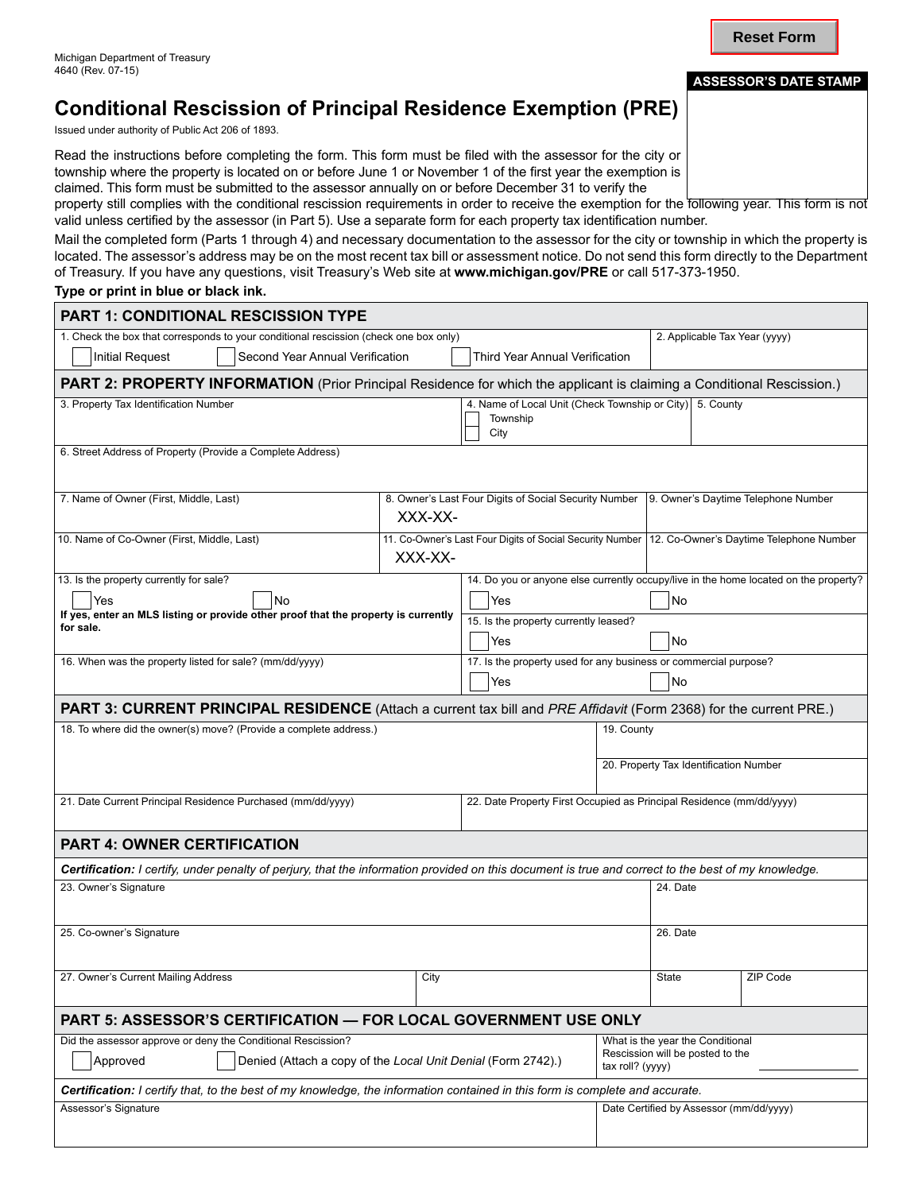# **Conditional Rescission of Principal Residence Exemption (PRE)**

Issued under authority of Public Act 206 of 1893.

Read the instructions before completing the form. This form must be filed with the assessor for the city or township where the property is located on or before June 1 or November 1 of the first year the exemption is claimed. This form must be submitted to the assessor annually on or before December 31 to verify the

property still complies with the conditional rescission requirements in order to receive the exemption for the following year. This form is not valid unless certified by the assessor (in Part 5). Use a separate form for each property tax identification number.

Mail the completed form (Parts 1 through 4) and necessary documentation to the assessor for the city or township in which the property is located. The assessor's address may be on the most recent tax bill or assessment notice. Do not send this form directly to the Department of Treasury. If you have any questions, visit Treasury's Web site at **www.michigan.gov/PRE** or call 517-373-1950.

**Type or print in blue or black ink.**

 $\overline{\phantom{0}}$ 

| <b>PART 1: CONDITIONAL RESCISSION TYPE</b>                                                                                                          |                                                                                              |                                       |                                                                                          |                                         |          |  |
|-----------------------------------------------------------------------------------------------------------------------------------------------------|----------------------------------------------------------------------------------------------|---------------------------------------|------------------------------------------------------------------------------------------|-----------------------------------------|----------|--|
| 1. Check the box that corresponds to your conditional rescission (check one box only)                                                               |                                                                                              |                                       |                                                                                          | 2. Applicable Tax Year (yyyy)           |          |  |
| <b>Initial Request</b><br>Second Year Annual Verification<br><b>Third Year Annual Verification</b>                                                  |                                                                                              |                                       |                                                                                          |                                         |          |  |
| PART 2: PROPERTY INFORMATION (Prior Principal Residence for which the applicant is claiming a Conditional Rescission.)                              |                                                                                              |                                       |                                                                                          |                                         |          |  |
| 4. Name of Local Unit (Check Township or City) 5. County<br>3. Property Tax Identification Number<br>Township<br>City                               |                                                                                              |                                       |                                                                                          |                                         |          |  |
| 6. Street Address of Property (Provide a Complete Address)                                                                                          |                                                                                              |                                       |                                                                                          |                                         |          |  |
| 7. Name of Owner (First, Middle, Last)                                                                                                              | 8. Owner's Last Four Digits of Social Security Number<br>9. Owner's Daytime Telephone Number |                                       |                                                                                          |                                         |          |  |
| 10. Name of Co-Owner (First, Middle, Last)                                                                                                          | 11. Co-Owner's Last Four Digits of Social Security Number<br>XXX-XX-                         |                                       |                                                                                          | 12. Co-Owner's Daytime Telephone Number |          |  |
| 14. Do you or anyone else currently occupy/live in the home located on the property?<br>13. Is the property currently for sale?                     |                                                                                              |                                       |                                                                                          |                                         |          |  |
| Yes<br>No                                                                                                                                           | Yes                                                                                          | No                                    |                                                                                          |                                         |          |  |
| If yes, enter an MLS listing or provide other proof that the property is currently<br>for sale.                                                     |                                                                                              | 15. Is the property currently leased? |                                                                                          |                                         |          |  |
|                                                                                                                                                     |                                                                                              | Yes                                   | No                                                                                       |                                         |          |  |
| 16. When was the property listed for sale? (mm/dd/yyyy)                                                                                             | 17. Is the property used for any business or commercial purpose?                             |                                       |                                                                                          |                                         |          |  |
|                                                                                                                                                     | Yes                                                                                          | No                                    |                                                                                          |                                         |          |  |
| PART 3: CURRENT PRINCIPAL RESIDENCE (Attach a current tax bill and PRE Affidavit (Form 2368) for the current PRE.)                                  |                                                                                              |                                       |                                                                                          |                                         |          |  |
| 18. To where did the owner(s) move? (Provide a complete address.)                                                                                   |                                                                                              |                                       | 19. County                                                                               |                                         |          |  |
|                                                                                                                                                     |                                                                                              |                                       | 20. Property Tax Identification Number                                                   |                                         |          |  |
| 21. Date Current Principal Residence Purchased (mm/dd/yyyy)                                                                                         |                                                                                              |                                       | 22. Date Property First Occupied as Principal Residence (mm/dd/yyyy)                     |                                         |          |  |
| <b>PART 4: OWNER CERTIFICATION</b>                                                                                                                  |                                                                                              |                                       |                                                                                          |                                         |          |  |
| Certification: I certify, under penalty of perjury, that the information provided on this document is true and correct to the best of my knowledge. |                                                                                              |                                       |                                                                                          |                                         |          |  |
| 23. Owner's Signature                                                                                                                               |                                                                                              |                                       |                                                                                          | 24. Date                                |          |  |
| 25. Co-owner's Signature                                                                                                                            |                                                                                              |                                       |                                                                                          | 26. Date                                |          |  |
| 27. Owner's Current Mailing Address<br>City                                                                                                         |                                                                                              |                                       | State                                                                                    |                                         | ZIP Code |  |
| PART 5: ASSESSOR'S CERTIFICATION - FOR LOCAL GOVERNMENT USE ONLY                                                                                    |                                                                                              |                                       |                                                                                          |                                         |          |  |
| Did the assessor approve or deny the Conditional Rescission?<br>Approved<br>Denied (Attach a copy of the Local Unit Denial (Form 2742).)            |                                                                                              |                                       | What is the year the Conditional<br>Rescission will be posted to the<br>tax roll? (yyyy) |                                         |          |  |
| Certification: I certify that, to the best of my knowledge, the information contained in this form is complete and accurate.                        |                                                                                              |                                       |                                                                                          |                                         |          |  |
| Assessor's Signature                                                                                                                                |                                                                                              |                                       | Date Certified by Assessor (mm/dd/yyyy)                                                  |                                         |          |  |
|                                                                                                                                                     |                                                                                              |                                       |                                                                                          |                                         |          |  |

**Reset Form**

#### **ASSESSOR'S DATE STAMP**